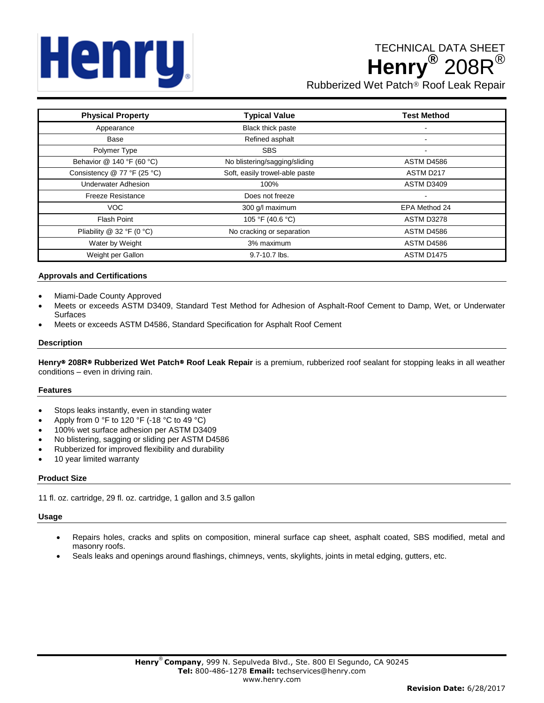# Henru,

# TECHNICAL DATA SHEET **Henry®** 208R®

Rubberized Wet Patch® Roof Leak Repair

| <b>Physical Property</b>    | <b>Typical Value</b>           | <b>Test Method</b> |
|-----------------------------|--------------------------------|--------------------|
| Appearance                  | Black thick paste              | $\blacksquare$     |
| Base                        | Refined asphalt                |                    |
| Polymer Type                | <b>SBS</b>                     | $\blacksquare$     |
| Behavior @ 140 °F (60 °C)   | No blistering/sagging/sliding  | ASTM D4586         |
| Consistency @ 77 °F (25 °C) | Soft, easily trowel-able paste | ASTM D217          |
| <b>Underwater Adhesion</b>  | 100%                           | ASTM D3409         |
| <b>Freeze Resistance</b>    | Does not freeze                |                    |
| VOC                         | 300 g/l maximum                | EPA Method 24      |
| <b>Flash Point</b>          | 105 °F (40.6 °C)               | ASTM D3278         |
| Pliability @ 32 °F (0 °C)   | No cracking or separation      | ASTM D4586         |
| Water by Weight             | 3% maximum                     | ASTM D4586         |
| Weight per Gallon           | 9.7-10.7 lbs.                  | ASTM D1475         |

# **Approvals and Certifications**

- Miami-Dade County Approved
- Meets or exceeds ASTM D3409, Standard Test Method for Adhesion of Asphalt-Roof Cement to Damp, Wet, or Underwater Surfaces
- Meets or exceeds ASTM D4586, Standard Specification for Asphalt Roof Cement

### **Description**

**Henry**® **208R**® **Rubberized Wet Patch**® **Roof Leak Repair** is a premium, rubberized roof sealant for stopping leaks in all weather conditions – even in driving rain.

#### **Features**

- Stops leaks instantly, even in standing water
- Apply from 0 °F to 120 °F (-18 °C to 49 °C)
- 100% wet surface adhesion per ASTM D3409
- No blistering, sagging or sliding per ASTM D4586
- Rubberized for improved flexibility and durability
- 10 year limited warranty

# **Product Size**

11 fl. oz. cartridge, 29 fl. oz. cartridge, 1 gallon and 3.5 gallon

#### **Usage**

- Repairs holes, cracks and splits on composition, mineral surface cap sheet, asphalt coated, SBS modified, metal and masonry roofs.
- Seals leaks and openings around flashings, chimneys, vents, skylights, joints in metal edging, gutters, etc.